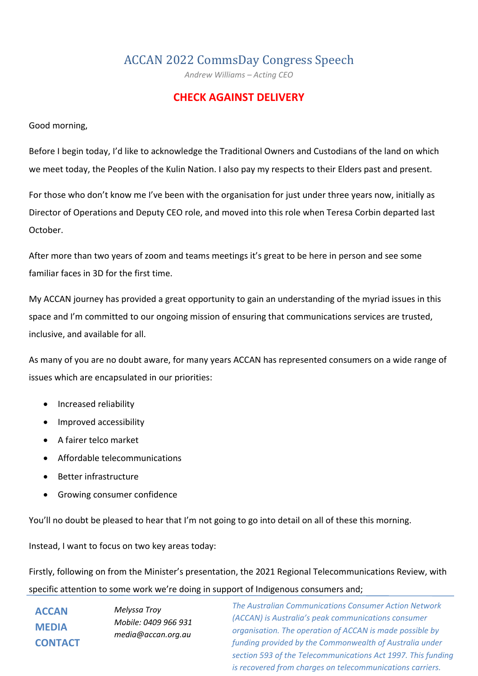# ACCAN 2022 CommsDay Congress Speech

*Andrew Williams – Acting CEO*

## **CHECK AGAINST DELIVERY**

Good morning,

Before I begin today, I'd like to acknowledge the Traditional Owners and Custodians of the land on which we meet today, the Peoples of the Kulin Nation. I also pay my respects to their Elders past and present.

For those who don't know me I've been with the organisation for just under three years now, initially as Director of Operations and Deputy CEO role, and moved into this role when Teresa Corbin departed last October.

After more than two years of zoom and teams meetings it's great to be here in person and see some familiar faces in 3D for the first time.

My ACCAN journey has provided a great opportunity to gain an understanding of the myriad issues in this space and I'm committed to our ongoing mission of ensuring that communications services are trusted, inclusive, and available for all.

As many of you are no doubt aware, for many years ACCAN has represented consumers on a wide range of issues which are encapsulated in our priorities:

- Increased reliability
- Improved accessibility
- A fairer telco market
- Affordable telecommunications
- Better infrastructure
- Growing consumer confidence

You'll no doubt be pleased to hear that I'm not going to go into detail on all of these this morning.

Instead, I want to focus on two key areas today:

Firstly, following on from the Minister's presentation, the 2021 Regional Telecommunications Review, with specific attention to some work we're doing in support of Indigenous consumers and;

| <b>ACCAN</b>   | Melyssa Troy                               |
|----------------|--------------------------------------------|
| <b>MEDIA</b>   | Mobile: 0409 966 931<br>media@accan.org.au |
| <b>CONTACT</b> |                                            |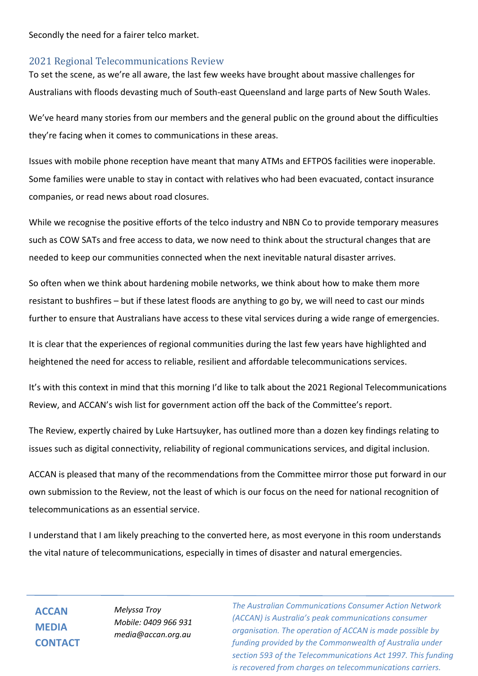Secondly the need for a fairer telco market.

## 2021 Regional Telecommunications Review

To set the scene, as we're all aware, the last few weeks have brought about massive challenges for Australians with floods devasting much of South-east Queensland and large parts of New South Wales.

We've heard many stories from our members and the general public on the ground about the difficulties they're facing when it comes to communications in these areas.

Issues with mobile phone reception have meant that many ATMs and EFTPOS facilities were inoperable. Some families were unable to stay in contact with relatives who had been evacuated, contact insurance companies, or read news about road closures.

While we recognise the positive efforts of the telco industry and NBN Co to provide temporary measures such as COW SATs and free access to data, we now need to think about the structural changes that are needed to keep our communities connected when the next inevitable natural disaster arrives.

So often when we think about hardening mobile networks, we think about how to make them more resistant to bushfires – but if these latest floods are anything to go by, we will need to cast our minds further to ensure that Australians have access to these vital services during a wide range of emergencies.

It is clear that the experiences of regional communities during the last few years have highlighted and heightened the need for access to reliable, resilient and affordable telecommunications services.

It's with this context in mind that this morning I'd like to talk about the 2021 Regional Telecommunications Review, and ACCAN's wish list for government action off the back of the Committee's report.

The Review, expertly chaired by Luke Hartsuyker, has outlined more than a dozen key findings relating to issues such as digital connectivity, reliability of regional communications services, and digital inclusion.

ACCAN is pleased that many of the recommendations from the Committee mirror those put forward in our own submission to the Review, not the least of which is our focus on the need for national recognition of telecommunications as an essential service.

I understand that I am likely preaching to the converted here, as most everyone in this room understands the vital nature of telecommunications, especially in times of disaster and natural emergencies.

**ACCAN MEDIA CONTACT**

*Melyssa Troy Mobile: 0409 966 931 media@accan.org.au*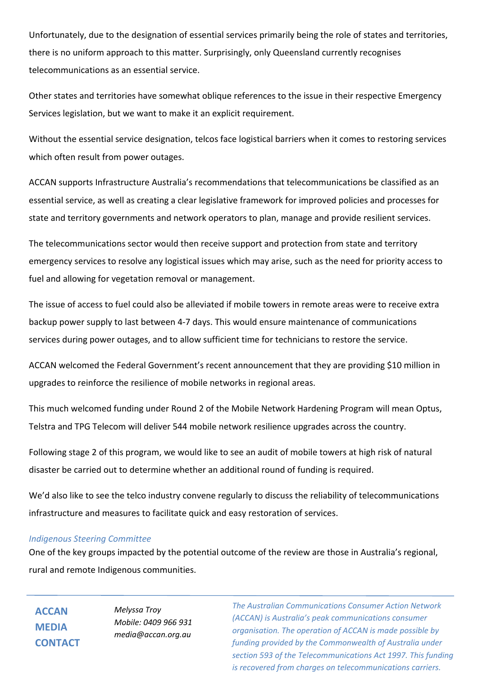Unfortunately, due to the designation of essential services primarily being the role of states and territories, there is no uniform approach to this matter. Surprisingly, only Queensland currently recognises telecommunications as an essential service.

Other states and territories have somewhat oblique references to the issue in their respective Emergency Services legislation, but we want to make it an explicit requirement.

Without the essential service designation, telcos face logistical barriers when it comes to restoring services which often result from power outages.

ACCAN supports Infrastructure Australia's recommendations that telecommunications be classified as an essential service, as well as creating a clear legislative framework for improved policies and processes for state and territory governments and network operators to plan, manage and provide resilient services.

The telecommunications sector would then receive support and protection from state and territory emergency services to resolve any logistical issues which may arise, such as the need for priority access to fuel and allowing for vegetation removal or management.

The issue of access to fuel could also be alleviated if mobile towers in remote areas were to receive extra backup power supply to last between 4-7 days. This would ensure maintenance of communications services during power outages, and to allow sufficient time for technicians to restore the service.

ACCAN welcomed the Federal Government's recent announcement that they are providing \$10 million in upgrades to reinforce the resilience of mobile networks in regional areas.

This much welcomed funding under Round 2 of the Mobile Network Hardening Program will mean Optus, Telstra and TPG Telecom will deliver 544 mobile network resilience upgrades across the country.

Following stage 2 of this program, we would like to see an audit of mobile towers at high risk of natural disaster be carried out to determine whether an additional round of funding is required.

We'd also like to see the telco industry convene regularly to discuss the reliability of telecommunications infrastructure and measures to facilitate quick and easy restoration of services.

#### *Indigenous Steering Committee*

One of the key groups impacted by the potential outcome of the review are those in Australia's regional, rural and remote Indigenous communities.

**ACCAN MEDIA CONTACT** *Melyssa Troy Mobile: 0409 966 931 media@accan.org.au*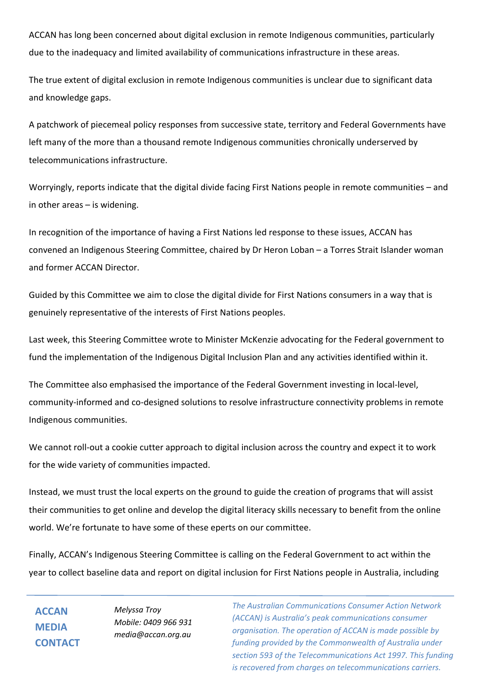ACCAN has long been concerned about digital exclusion in remote Indigenous communities, particularly due to the inadequacy and limited availability of communications infrastructure in these areas.

The true extent of digital exclusion in remote Indigenous communities is unclear due to significant data and knowledge gaps.

A patchwork of piecemeal policy responses from successive state, territory and Federal Governments have left many of the more than a thousand remote Indigenous communities chronically underserved by telecommunications infrastructure.

Worryingly, reports indicate that the digital divide facing First Nations people in remote communities – and in other areas – is widening.

In recognition of the importance of having a First Nations led response to these issues, ACCAN has convened an Indigenous Steering Committee, chaired by Dr Heron Loban – a Torres Strait Islander woman and former ACCAN Director.

Guided by this Committee we aim to close the digital divide for First Nations consumers in a way that is genuinely representative of the interests of First Nations peoples.

Last week, this Steering Committee wrote to Minister McKenzie advocating for the Federal government to fund the implementation of the Indigenous Digital Inclusion Plan and any activities identified within it.

The Committee also emphasised the importance of the Federal Government investing in local-level, community-informed and co-designed solutions to resolve infrastructure connectivity problems in remote Indigenous communities.

We cannot roll-out a cookie cutter approach to digital inclusion across the country and expect it to work for the wide variety of communities impacted.

Instead, we must trust the local experts on the ground to guide the creation of programs that will assist their communities to get online and develop the digital literacy skills necessary to benefit from the online world. We're fortunate to have some of these eperts on our committee.

Finally, ACCAN's Indigenous Steering Committee is calling on the Federal Government to act within the year to collect baseline data and report on digital inclusion for First Nations people in Australia, including

**ACCAN MEDIA CONTACT** *Melyssa Troy Mobile: 0409 966 931 media@accan.org.au*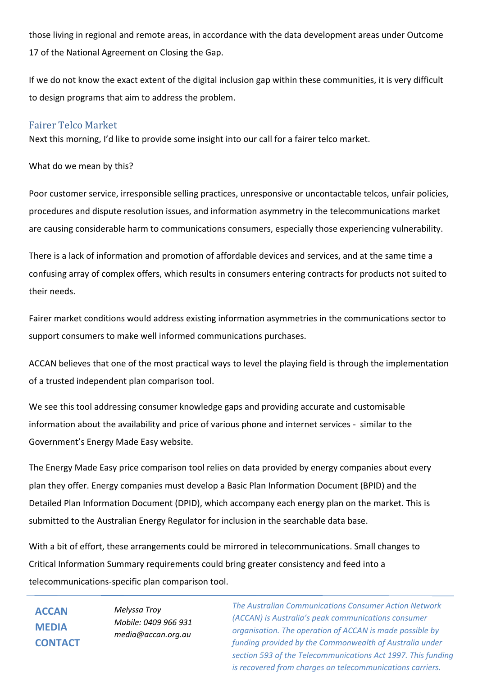those living in regional and remote areas, in accordance with the data development areas under Outcome 17 of the National Agreement on Closing the Gap.

If we do not know the exact extent of the digital inclusion gap within these communities, it is very difficult to design programs that aim to address the problem.

## Fairer Telco Market

Next this morning, I'd like to provide some insight into our call for a fairer telco market.

What do we mean by this?

Poor customer service, irresponsible selling practices, unresponsive or uncontactable telcos, unfair policies, procedures and dispute resolution issues, and information asymmetry in the telecommunications market are causing considerable harm to communications consumers, especially those experiencing vulnerability.

There is a lack of information and promotion of affordable devices and services, and at the same time a confusing array of complex offers, which results in consumers entering contracts for products not suited to their needs.

Fairer market conditions would address existing information asymmetries in the communications sector to support consumers to make well informed communications purchases.

ACCAN believes that one of the most practical ways to level the playing field is through the implementation of a trusted independent plan comparison tool.

We see this tool addressing consumer knowledge gaps and providing accurate and customisable information about the availability and price of various phone and internet services - similar to the Government's Energy Made Easy website.

The Energy Made Easy price comparison tool relies on data provided by energy companies about every plan they offer. Energy companies must develop a Basic Plan Information Document (BPID) and the Detailed Plan Information Document (DPID), which accompany each energy plan on the market. This is submitted to the Australian Energy Regulator for inclusion in the searchable data base.

With a bit of effort, these arrangements could be mirrored in telecommunications. Small changes to Critical Information Summary requirements could bring greater consistency and feed into a telecommunications-specific plan comparison tool.

**ACCAN MEDIA CONTACT** *Melyssa Troy Mobile: 0409 966 931 media@accan.org.au*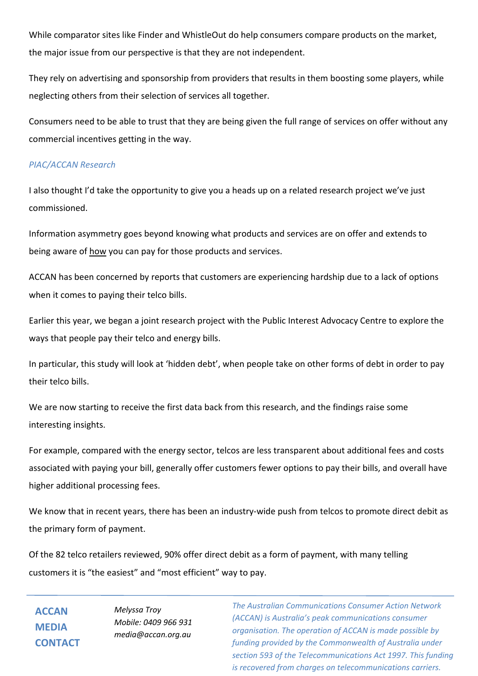While comparator sites like Finder and WhistleOut do help consumers compare products on the market, the major issue from our perspective is that they are not independent.

They rely on advertising and sponsorship from providers that results in them boosting some players, while neglecting others from their selection of services all together.

Consumers need to be able to trust that they are being given the full range of services on offer without any commercial incentives getting in the way.

## *PIAC/ACCAN Research*

I also thought I'd take the opportunity to give you a heads up on a related research project we've just commissioned.

Information asymmetry goes beyond knowing what products and services are on offer and extends to being aware of how you can pay for those products and services.

ACCAN has been concerned by reports that customers are experiencing hardship due to a lack of options when it comes to paying their telco bills.

Earlier this year, we began a joint research project with the Public Interest Advocacy Centre to explore the ways that people pay their telco and energy bills.

In particular, this study will look at 'hidden debt', when people take on other forms of debt in order to pay their telco bills.

We are now starting to receive the first data back from this research, and the findings raise some interesting insights.

For example, compared with the energy sector, telcos are less transparent about additional fees and costs associated with paying your bill, generally offer customers fewer options to pay their bills, and overall have higher additional processing fees.

We know that in recent years, there has been an industry-wide push from telcos to promote direct debit as the primary form of payment.

Of the 82 telco retailers reviewed, 90% offer direct debit as a form of payment, with many telling customers it is "the easiest" and "most efficient" way to pay.

**ACCAN MEDIA CONTACT** *Melyssa Troy Mobile: 0409 966 931 media@accan.org.au*